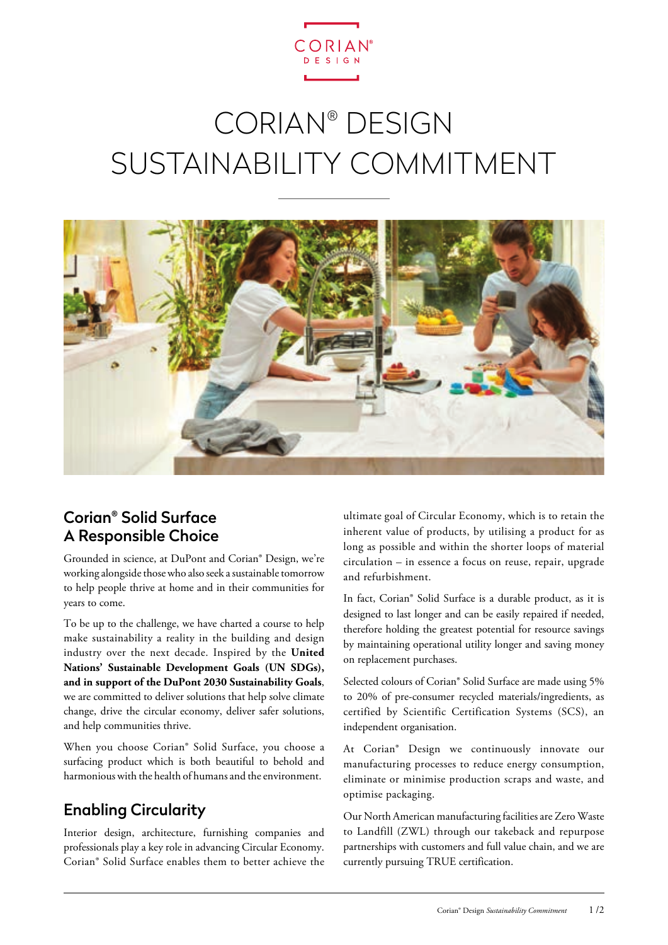

# CORIAN® DESIGN SUSTAINABILITY COMMITMENT



## Corian® Solid Surface A Responsible Choice

Grounded in science, at DuPont and Corian® Design, we're working alongside those who also seek a sustainable tomorrow to help people thrive at home and in their communities for years to come.

To be up to the challenge, we have charted a course to help make sustainability a reality in the building and design industry over the next decade. Inspired by the **United Nations' Sustainable Development Goals (UN SDGs), and in support of the DuPont 2030 Sustainability Goals**, we are committed to deliver solutions that help solve climate change, drive the circular economy, deliver safer solutions, and help communities thrive.

When you choose Corian® Solid Surface, you choose a surfacing product which is both beautiful to behold and harmonious with the health of humans and the environment.

# Enabling Circularity

Interior design, architecture, furnishing companies and professionals play a key role in advancing Circular Economy. Corian® Solid Surface enables them to better achieve the

ultimate goal of Circular Economy, which is to retain the inherent value of products, by utilising a product for as long as possible and within the shorter loops of material circulation – in essence a focus on reuse, repair, upgrade and refurbishment.

In fact, Corian® Solid Surface is a durable product, as it is designed to last longer and can be easily repaired if needed, therefore holding the greatest potential for resource savings by maintaining operational utility longer and saving money on replacement purchases.

Selected colours of Corian® Solid Surface are made using 5% to 20% of pre-consumer recycled materials/ingredients, as certified by Scientific Certification Systems (SCS), an independent organisation.

At Corian® Design we continuously innovate our manufacturing processes to reduce energy consumption, eliminate or minimise production scraps and waste, and optimise packaging.

Our North American manufacturing facilities are Zero Waste to Landfill (ZWL) through our takeback and repurpose partnerships with customers and full value chain, and we are currently pursuing TRUE certification.